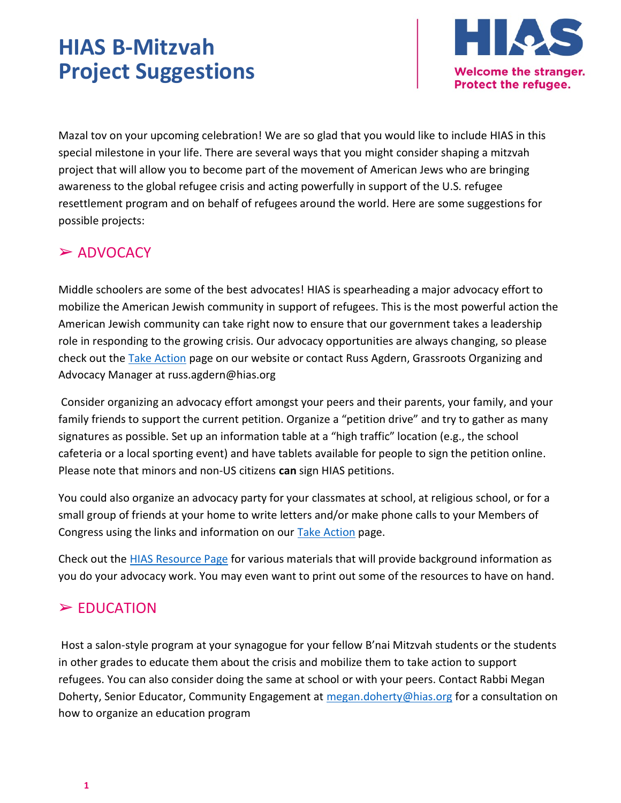# HIAS B-Mitzvah Project Suggestions



Mazal tov on your upcoming celebration! We are so glad that you would like to include HIAS in this special milestone in your life. There are several ways that you might consider shaping a mitzvah project that will allow you to become part of the movement of American Jews who are bringing awareness to the global refugee crisis and acting powerfully in support of the U.S. refugee resettlement program and on behalf of refugees around the world. Here are some suggestions for possible projects:

# ➢ ADVOCACY

Middle schoolers are some of the best advocates! HIAS is spearheading a major advocacy effort to mobilize the American Jewish community in support of refugees. This is the most powerful action the American Jewish community can take right now to ensure that our government takes a leadership role in responding to the growing crisis. Our advocacy opportunities are always changing, so please check out the Take Action page on our website or contact Russ Agdern, Grassroots Organizing and Advocacy Manager at russ.agdern@hias.org

 Consider organizing an advocacy effort amongst your peers and their parents, your family, and your family friends to support the current petition. Organize a "petition drive" and try to gather as many signatures as possible. Set up an information table at a "high traffic" location (e.g., the school cafeteria or a local sporting event) and have tablets available for people to sign the petition online. Please note that minors and non-US citizens can sign HIAS petitions.

You could also organize an advocacy party for your classmates at school, at religious school, or for a small group of friends at your home to write letters and/or make phone calls to your Members of Congress using the links and information on our Take Action page.

Check out the HIAS Resource Page for various materials that will provide background information as you do your advocacy work. You may even want to print out some of the resources to have on hand.

## ➢ EDUCATION

 Host a salon-style program at your synagogue for your fellow B'nai Mitzvah students or the students in other grades to educate them about the crisis and mobilize them to take action to support refugees. You can also consider doing the same at school or with your peers. Contact Rabbi Megan Doherty, Senior Educator, Community Engagement at megan.doherty@hias.org for a consultation on how to organize an education program